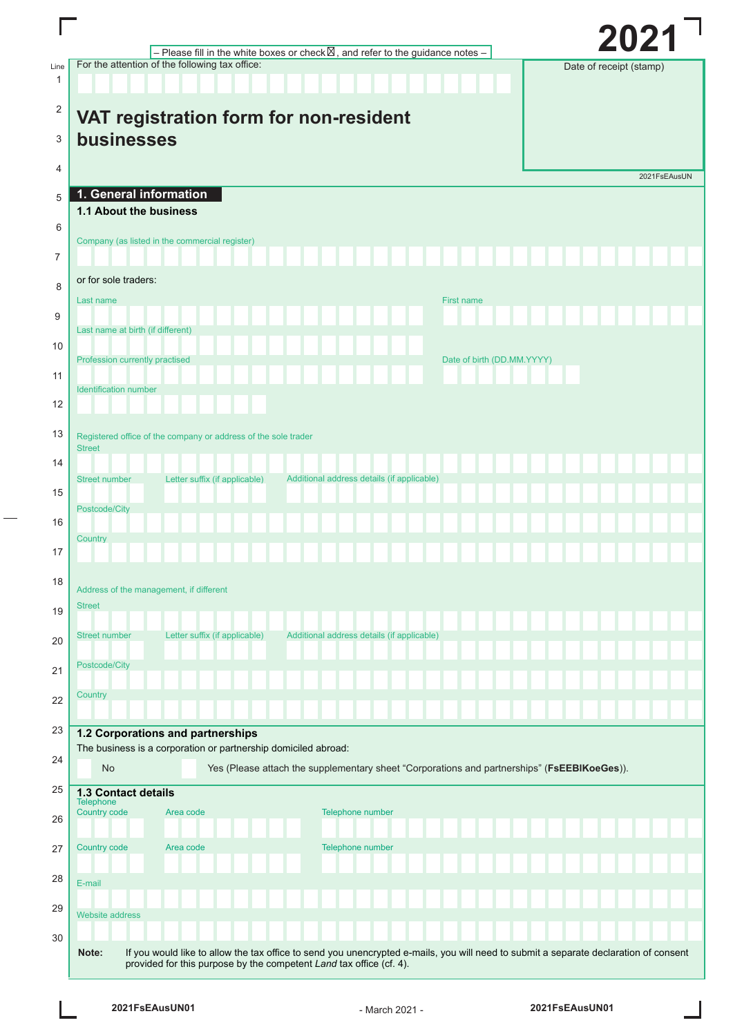|                      |                                                                                                                                                                                                                      | 2021                    |
|----------------------|----------------------------------------------------------------------------------------------------------------------------------------------------------------------------------------------------------------------|-------------------------|
|                      | - Please fill in the white boxes or check $\boxtimes$ , and refer to the guidance notes -<br>For the attention of the following tax office:                                                                          |                         |
| Line<br>$\mathbf{1}$ |                                                                                                                                                                                                                      | Date of receipt (stamp) |
| $\overline{2}$       | VAT registration form for non-resident                                                                                                                                                                               |                         |
| 3                    | businesses                                                                                                                                                                                                           |                         |
| 4                    |                                                                                                                                                                                                                      | 2021FsEAusUN            |
| 5                    | 1. General information                                                                                                                                                                                               |                         |
| 6                    | 1.1 About the business                                                                                                                                                                                               |                         |
| 7                    | Company (as listed in the commercial register)                                                                                                                                                                       |                         |
| 8                    | or for sole traders:                                                                                                                                                                                                 |                         |
| 9                    | Last name<br><b>First name</b>                                                                                                                                                                                       |                         |
| 10                   | Last name at birth (if different)                                                                                                                                                                                    |                         |
| 11                   | Profession currently practised<br>Date of birth (DD.MM.YYYY)                                                                                                                                                         |                         |
| 12                   | <b>Identification number</b>                                                                                                                                                                                         |                         |
| 13                   | Registered office of the company or address of the sole trader                                                                                                                                                       |                         |
| 14                   | <b>Street</b>                                                                                                                                                                                                        |                         |
| 15                   | Additional address details (if applicable)<br>Letter suffix (if applicable)<br><b>Street number</b>                                                                                                                  |                         |
|                      | Postcode/City                                                                                                                                                                                                        |                         |
| 16                   | Country                                                                                                                                                                                                              |                         |
| 17                   |                                                                                                                                                                                                                      |                         |
| 18                   | Address of the management, if different                                                                                                                                                                              |                         |
| 19                   | <b>Street</b>                                                                                                                                                                                                        |                         |
| 20                   | <b>Street number</b><br>Letter suffix (if applicable)<br>Additional address details (if applicable)                                                                                                                  |                         |
| 21                   | Postcode/City                                                                                                                                                                                                        |                         |
| 22                   | Country                                                                                                                                                                                                              |                         |
| 23                   | 1.2 Corporations and partnerships                                                                                                                                                                                    |                         |
|                      | The business is a corporation or partnership domiciled abroad:                                                                                                                                                       |                         |
| 24                   | Yes (Please attach the supplementary sheet "Corporations and partnerships" (FsEEBIKoeGes)).<br><b>No</b>                                                                                                             |                         |
| 25                   | <b>1.3 Contact details</b><br>Telephone                                                                                                                                                                              |                         |
| 26                   | Country code<br>Telephone number<br>Area code                                                                                                                                                                        |                         |
| 27                   | Country code<br>Telephone number<br>Area code                                                                                                                                                                        |                         |
| 28                   | E-mail                                                                                                                                                                                                               |                         |
| 29                   | <b>Website address</b>                                                                                                                                                                                               |                         |
| 30                   |                                                                                                                                                                                                                      |                         |
|                      | If you would like to allow the tax office to send you unencrypted e-mails, you will need to submit a separate declaration of consent<br>Note:<br>provided for this purpose by the competent Land tax office (cf. 4). |                         |

 $\overline{\phantom{a}}$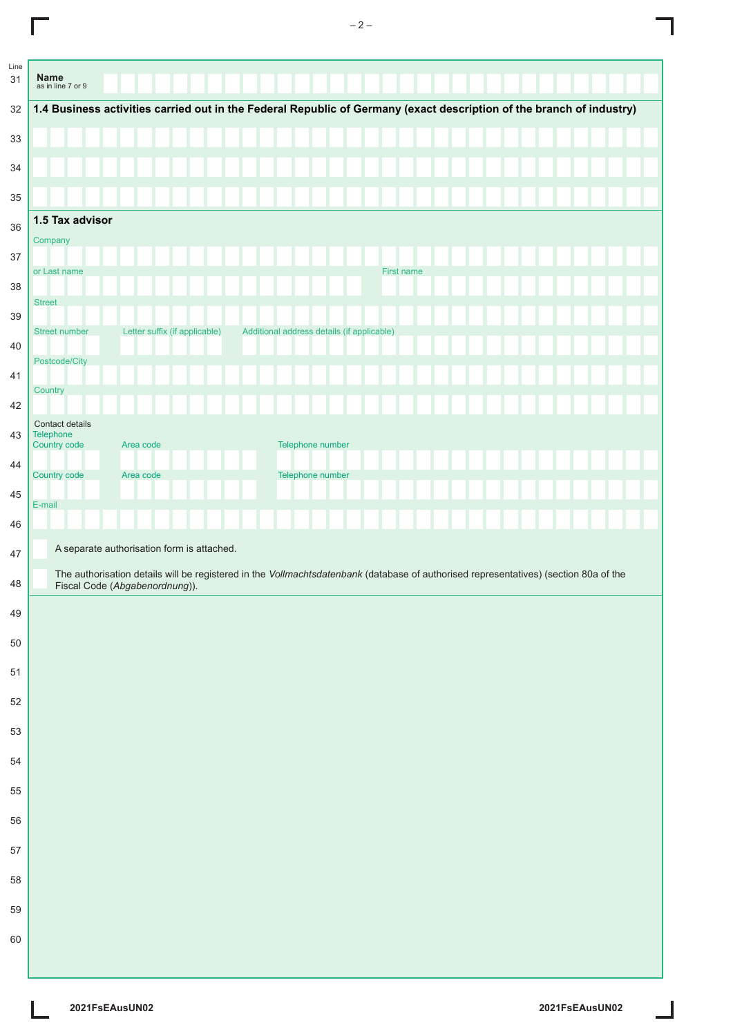|                              | 1.4 Business activities carried out in the Federal Republic of Germany (exact description of the branch of industry)                                                   |  |                  |                                            |            |  |  |  |  |
|------------------------------|------------------------------------------------------------------------------------------------------------------------------------------------------------------------|--|------------------|--------------------------------------------|------------|--|--|--|--|
|                              |                                                                                                                                                                        |  |                  |                                            |            |  |  |  |  |
|                              |                                                                                                                                                                        |  |                  |                                            |            |  |  |  |  |
|                              |                                                                                                                                                                        |  |                  |                                            |            |  |  |  |  |
|                              |                                                                                                                                                                        |  |                  |                                            |            |  |  |  |  |
| 1.5 Tax advisor              |                                                                                                                                                                        |  |                  |                                            |            |  |  |  |  |
| Company                      |                                                                                                                                                                        |  |                  |                                            |            |  |  |  |  |
|                              |                                                                                                                                                                        |  |                  |                                            | First name |  |  |  |  |
| or Last name                 |                                                                                                                                                                        |  |                  |                                            |            |  |  |  |  |
| <b>Street</b>                |                                                                                                                                                                        |  |                  |                                            |            |  |  |  |  |
| <b>Street number</b>         | Letter suffix (if applicable)                                                                                                                                          |  |                  | Additional address details (if applicable) |            |  |  |  |  |
| Postcode/City                |                                                                                                                                                                        |  |                  |                                            |            |  |  |  |  |
|                              |                                                                                                                                                                        |  |                  |                                            |            |  |  |  |  |
| Country                      |                                                                                                                                                                        |  |                  |                                            |            |  |  |  |  |
| Contact details<br>Telephone |                                                                                                                                                                        |  |                  |                                            |            |  |  |  |  |
| Country code                 | Area code                                                                                                                                                              |  | Telephone number |                                            |            |  |  |  |  |
| Country code                 | Area code                                                                                                                                                              |  | Telephone number |                                            |            |  |  |  |  |
| E-mail                       |                                                                                                                                                                        |  |                  |                                            |            |  |  |  |  |
|                              |                                                                                                                                                                        |  |                  |                                            |            |  |  |  |  |
|                              |                                                                                                                                                                        |  |                  |                                            |            |  |  |  |  |
|                              |                                                                                                                                                                        |  |                  |                                            |            |  |  |  |  |
|                              | A separate authorisation form is attached.                                                                                                                             |  |                  |                                            |            |  |  |  |  |
|                              | The authorisation details will be registered in the Vollmachtsdatenbank (database of authorised representatives) (section 80a of the<br>Fiscal Code (Abgabenordnung)). |  |                  |                                            |            |  |  |  |  |
|                              |                                                                                                                                                                        |  |                  |                                            |            |  |  |  |  |
|                              |                                                                                                                                                                        |  |                  |                                            |            |  |  |  |  |
|                              |                                                                                                                                                                        |  |                  |                                            |            |  |  |  |  |
|                              |                                                                                                                                                                        |  |                  |                                            |            |  |  |  |  |
|                              |                                                                                                                                                                        |  |                  |                                            |            |  |  |  |  |
|                              |                                                                                                                                                                        |  |                  |                                            |            |  |  |  |  |
|                              |                                                                                                                                                                        |  |                  |                                            |            |  |  |  |  |
|                              |                                                                                                                                                                        |  |                  |                                            |            |  |  |  |  |
|                              |                                                                                                                                                                        |  |                  |                                            |            |  |  |  |  |
|                              |                                                                                                                                                                        |  |                  |                                            |            |  |  |  |  |
|                              |                                                                                                                                                                        |  |                  |                                            |            |  |  |  |  |
|                              |                                                                                                                                                                        |  |                  |                                            |            |  |  |  |  |
|                              |                                                                                                                                                                        |  |                  |                                            |            |  |  |  |  |

 $-2-$ 

L

 $\overline{\Gamma}$ 

I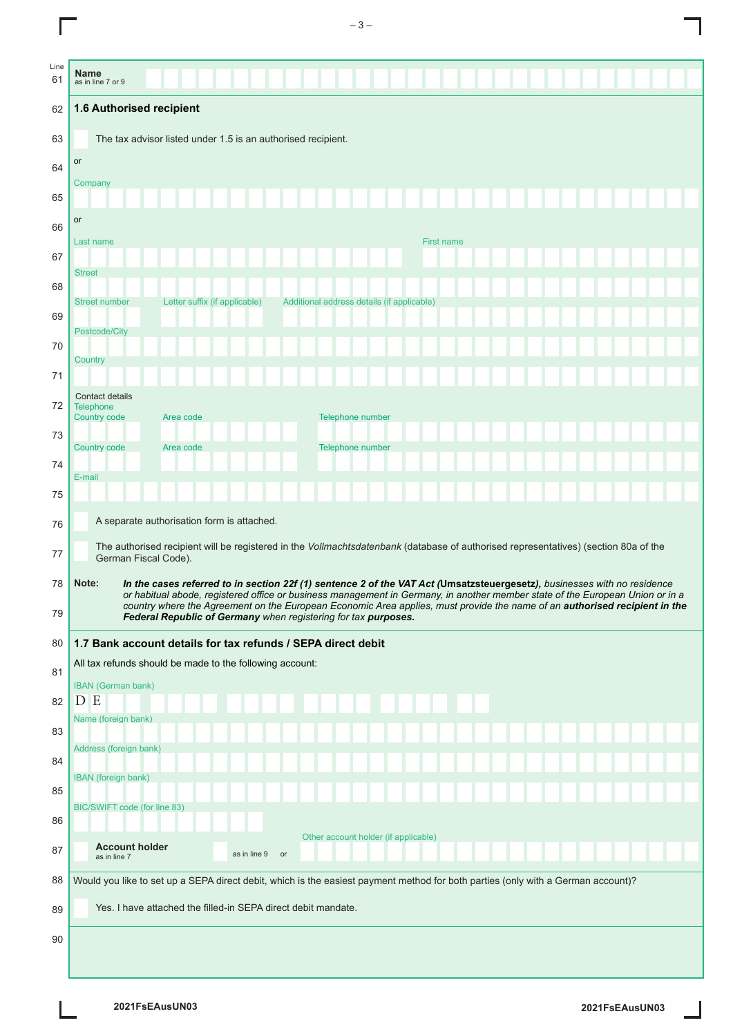|            | $-3-$                                                                                                                                                                                                                                                                                                                                                                                                                                                              |
|------------|--------------------------------------------------------------------------------------------------------------------------------------------------------------------------------------------------------------------------------------------------------------------------------------------------------------------------------------------------------------------------------------------------------------------------------------------------------------------|
| Line<br>61 | <b>Name</b><br>as in line 7 or 9                                                                                                                                                                                                                                                                                                                                                                                                                                   |
| 62         | 1.6 Authorised recipient                                                                                                                                                                                                                                                                                                                                                                                                                                           |
| 63         | The tax advisor listed under 1.5 is an authorised recipient.                                                                                                                                                                                                                                                                                                                                                                                                       |
| 64         | or                                                                                                                                                                                                                                                                                                                                                                                                                                                                 |
| 65         | Company                                                                                                                                                                                                                                                                                                                                                                                                                                                            |
| 66         | or                                                                                                                                                                                                                                                                                                                                                                                                                                                                 |
| 67         | First name<br>Last name                                                                                                                                                                                                                                                                                                                                                                                                                                            |
|            | <b>Street</b>                                                                                                                                                                                                                                                                                                                                                                                                                                                      |
| 68         | Letter suffix (if applicable)<br><b>Street number</b><br>Additional address details (if applicable)                                                                                                                                                                                                                                                                                                                                                                |
| 69         | Postcode/City                                                                                                                                                                                                                                                                                                                                                                                                                                                      |
| 70         | Country                                                                                                                                                                                                                                                                                                                                                                                                                                                            |
| 71         |                                                                                                                                                                                                                                                                                                                                                                                                                                                                    |
| 72         | Contact details<br><b>Telephone</b><br>Telephone number<br><b>Country code</b><br>Area code                                                                                                                                                                                                                                                                                                                                                                        |
| 73         | <b>Country code</b><br>Area code<br><b>Telephone number</b>                                                                                                                                                                                                                                                                                                                                                                                                        |
| 74         | E-mail                                                                                                                                                                                                                                                                                                                                                                                                                                                             |
| 75         |                                                                                                                                                                                                                                                                                                                                                                                                                                                                    |
| 76         | A separate authorisation form is attached.                                                                                                                                                                                                                                                                                                                                                                                                                         |
| 77         | The authorised recipient will be registered in the Vollmachtsdatenbank (database of authorised representatives) (section 80a of the<br>German Fiscal Code).                                                                                                                                                                                                                                                                                                        |
| 78<br>79   | Note:<br>In the cases referred to in section 22f (1) sentence 2 of the VAT Act (Umsatzsteuergesetz), businesses with no residence<br>or habitual abode, registered office or business management in Germany, in another member state of the European Union or in a<br>country where the Agreement on the European Economic Area applies, must provide the name of an authorised recipient in the<br>Federal Republic of Germany when registering for tax purposes. |
| 80         | 1.7 Bank account details for tax refunds / SEPA direct debit                                                                                                                                                                                                                                                                                                                                                                                                       |
| 81         | All tax refunds should be made to the following account:                                                                                                                                                                                                                                                                                                                                                                                                           |
| 82         | <b>IBAN</b> (German bank)<br>D E                                                                                                                                                                                                                                                                                                                                                                                                                                   |
| 83         | Name (foreign bank)                                                                                                                                                                                                                                                                                                                                                                                                                                                |
| 84         | Address (foreign bank)                                                                                                                                                                                                                                                                                                                                                                                                                                             |
| 85         | IBAN (foreign bank)                                                                                                                                                                                                                                                                                                                                                                                                                                                |
| 86         | BIC/SWIFT code (for line 83)                                                                                                                                                                                                                                                                                                                                                                                                                                       |
| 87         | Other account holder (if applicable)<br><b>Account holder</b>                                                                                                                                                                                                                                                                                                                                                                                                      |
| 88         | as in line 9<br>or<br>as in line 7<br>Would you like to set up a SEPA direct debit, which is the easiest payment method for both parties (only with a German account)?                                                                                                                                                                                                                                                                                             |
| 89         | Yes. I have attached the filled-in SEPA direct debit mandate.                                                                                                                                                                                                                                                                                                                                                                                                      |
| 90         |                                                                                                                                                                                                                                                                                                                                                                                                                                                                    |
|            |                                                                                                                                                                                                                                                                                                                                                                                                                                                                    |

 $\overline{\phantom{a}}$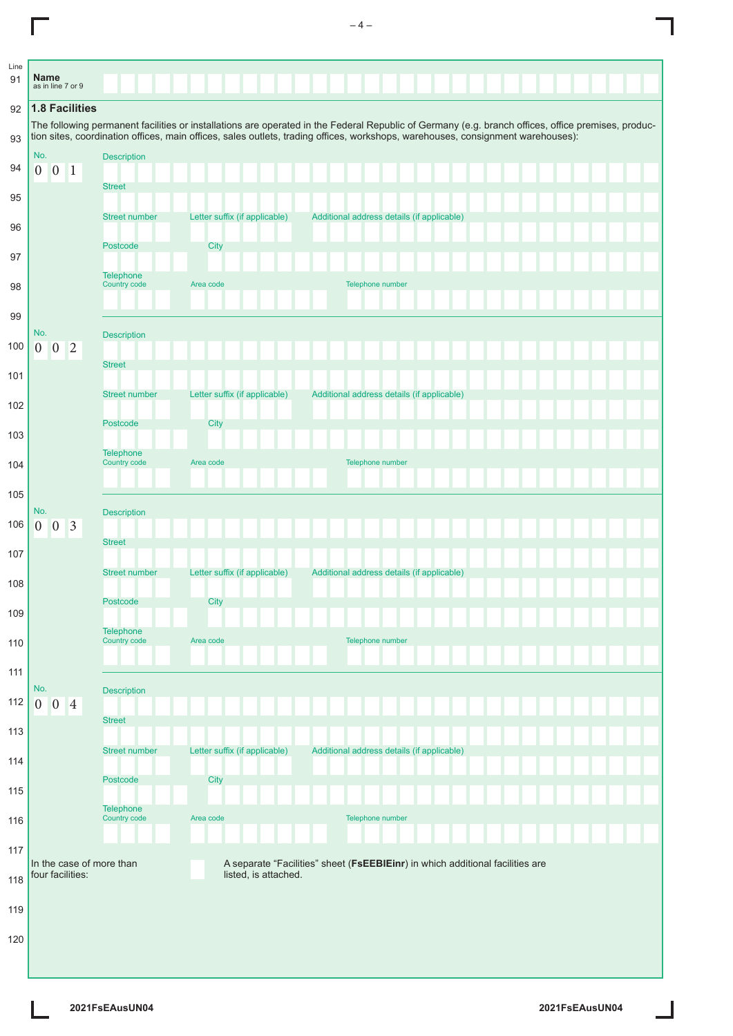| Line<br>91 | <b>Name</b>    | as in line 7 or 9 |                       |                                  |                               |                                                                                                                                                                                                                                                                                       |
|------------|----------------|-------------------|-----------------------|----------------------------------|-------------------------------|---------------------------------------------------------------------------------------------------------------------------------------------------------------------------------------------------------------------------------------------------------------------------------------|
| 92         |                |                   | <b>1.8 Facilities</b> |                                  |                               |                                                                                                                                                                                                                                                                                       |
| 93         |                |                   |                       |                                  |                               | The following permanent facilities or installations are operated in the Federal Republic of Germany (e.g. branch offices, office premises, produc-<br>tion sites, coordination offices, main offices, sales outlets, trading offices, workshops, warehouses, consignment warehouses): |
|            | No.            |                   |                       | <b>Description</b>               |                               |                                                                                                                                                                                                                                                                                       |
| 94         | $\overline{0}$ | $\overline{0}$    | $\mathbf{1}$          | <b>Street</b>                    |                               |                                                                                                                                                                                                                                                                                       |
| 95         |                |                   |                       |                                  |                               |                                                                                                                                                                                                                                                                                       |
| 96         |                |                   |                       | <b>Street number</b>             | Letter suffix (if applicable) | Additional address details (if applicable)                                                                                                                                                                                                                                            |
| 97         |                |                   |                       | Postcode                         | City                          |                                                                                                                                                                                                                                                                                       |
| 98         |                |                   |                       | <b>Telephone</b><br>Country code | Area code                     | Telephone number                                                                                                                                                                                                                                                                      |
|            |                |                   |                       |                                  |                               |                                                                                                                                                                                                                                                                                       |
| 99         | No.            |                   |                       | <b>Description</b>               |                               |                                                                                                                                                                                                                                                                                       |
| 100        | $\overline{0}$ | $\overline{0}$    | $\overline{2}$        | <b>Street</b>                    |                               |                                                                                                                                                                                                                                                                                       |
| 101        |                |                   |                       |                                  |                               |                                                                                                                                                                                                                                                                                       |
| 102        |                |                   |                       | <b>Street number</b>             | Letter suffix (if applicable) | Additional address details (if applicable)                                                                                                                                                                                                                                            |
| 103        |                |                   |                       | Postcode                         | City                          |                                                                                                                                                                                                                                                                                       |
| 104        |                |                   |                       | <b>Telephone</b><br>Country code | Area code                     | Telephone number                                                                                                                                                                                                                                                                      |
|            |                |                   |                       |                                  |                               |                                                                                                                                                                                                                                                                                       |
| 105        | No.            |                   |                       | <b>Description</b>               |                               |                                                                                                                                                                                                                                                                                       |
| 106        | $\overline{0}$ | $\overline{0}$    | $\overline{3}$        | <b>Street</b>                    |                               |                                                                                                                                                                                                                                                                                       |
| 107        |                |                   |                       |                                  |                               |                                                                                                                                                                                                                                                                                       |
| 108        |                |                   |                       | <b>Street number</b>             | Letter suffix (if applicable) | Additional address details (if applicable)                                                                                                                                                                                                                                            |
| 109        |                |                   |                       | Postcode                         | City                          |                                                                                                                                                                                                                                                                                       |
| 110        |                |                   |                       | <b>Telephone</b><br>Country code | Area code                     | Telephone number                                                                                                                                                                                                                                                                      |
|            |                |                   |                       |                                  |                               |                                                                                                                                                                                                                                                                                       |
| 111        | No.            |                   |                       | <b>Description</b>               |                               |                                                                                                                                                                                                                                                                                       |
| 112        | $\overline{0}$ | $\overline{0}$    | $\overline{4}$        |                                  |                               |                                                                                                                                                                                                                                                                                       |
| 113        |                |                   |                       | <b>Street</b>                    |                               |                                                                                                                                                                                                                                                                                       |
| 114        |                |                   |                       | <b>Street number</b>             | Letter suffix (if applicable) | Additional address details (if applicable)                                                                                                                                                                                                                                            |
| 115        |                |                   |                       | Postcode                         | <b>City</b>                   |                                                                                                                                                                                                                                                                                       |
| 116        |                |                   |                       | <b>Telephone</b><br>Country code | Area code                     | Telephone number                                                                                                                                                                                                                                                                      |
|            |                |                   |                       |                                  |                               |                                                                                                                                                                                                                                                                                       |
| 117        |                | four facilities:  |                       | In the case of more than         | listed, is attached.          | A separate "Facilities" sheet (FsEEBIEinr) in which additional facilities are                                                                                                                                                                                                         |
| 118        |                |                   |                       |                                  |                               |                                                                                                                                                                                                                                                                                       |
| 119        |                |                   |                       |                                  |                               |                                                                                                                                                                                                                                                                                       |
| 120        |                |                   |                       |                                  |                               |                                                                                                                                                                                                                                                                                       |
|            |                |                   |                       |                                  |                               |                                                                                                                                                                                                                                                                                       |

L

 $\Box$ 

Ī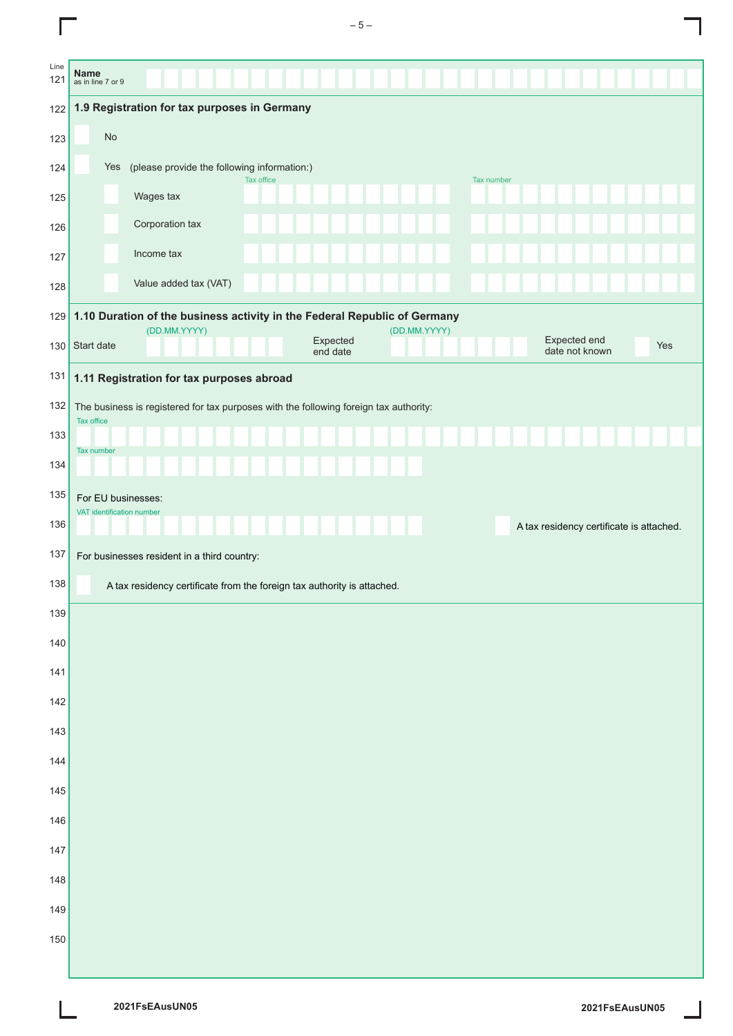|             | $-5-$                                                                                                     |
|-------------|-----------------------------------------------------------------------------------------------------------|
| Line<br>121 | <b>Name</b><br>as in line 7 or 9                                                                          |
| 122         | 1.9 Registration for tax purposes in Germany                                                              |
| 123         | No                                                                                                        |
| 124         | (please provide the following information:)<br>Yes<br>Tax office<br><b>Tax number</b>                     |
| 125         | Wages tax                                                                                                 |
| 126         | Corporation tax                                                                                           |
| 127         | Income tax                                                                                                |
| 128         | Value added tax (VAT)                                                                                     |
| 129         | 1.10 Duration of the business activity in the Federal Republic of Germany<br>(DD.MM.YYYY)<br>(DD.MM.YYYY) |
| 130         | Expected end<br>Expected<br>Start date<br>Yes<br>date not known<br>end date                               |
| 131         | 1.11 Registration for tax purposes abroad                                                                 |
| 132         | The business is registered for tax purposes with the following foreign tax authority:<br>Tax office       |
| 133         | <b>Tax number</b>                                                                                         |
| 134         |                                                                                                           |
| 135         | For EU businesses:                                                                                        |
| 136         | VAT identification number<br>A tax residency certificate is attached.                                     |
| 137         | For businesses resident in a third country:                                                               |
| 138         | A tax residency certificate from the foreign tax authority is attached.                                   |
| 139         |                                                                                                           |
| 140         |                                                                                                           |
| 141         |                                                                                                           |
| 142         |                                                                                                           |
| 143         |                                                                                                           |
| 144         |                                                                                                           |
| 145         |                                                                                                           |
| 146         |                                                                                                           |
| 147         |                                                                                                           |
| 148         |                                                                                                           |
| 149         |                                                                                                           |
| 150         |                                                                                                           |
|             |                                                                                                           |

 $\Box$ 

 $\frac{1}{2}$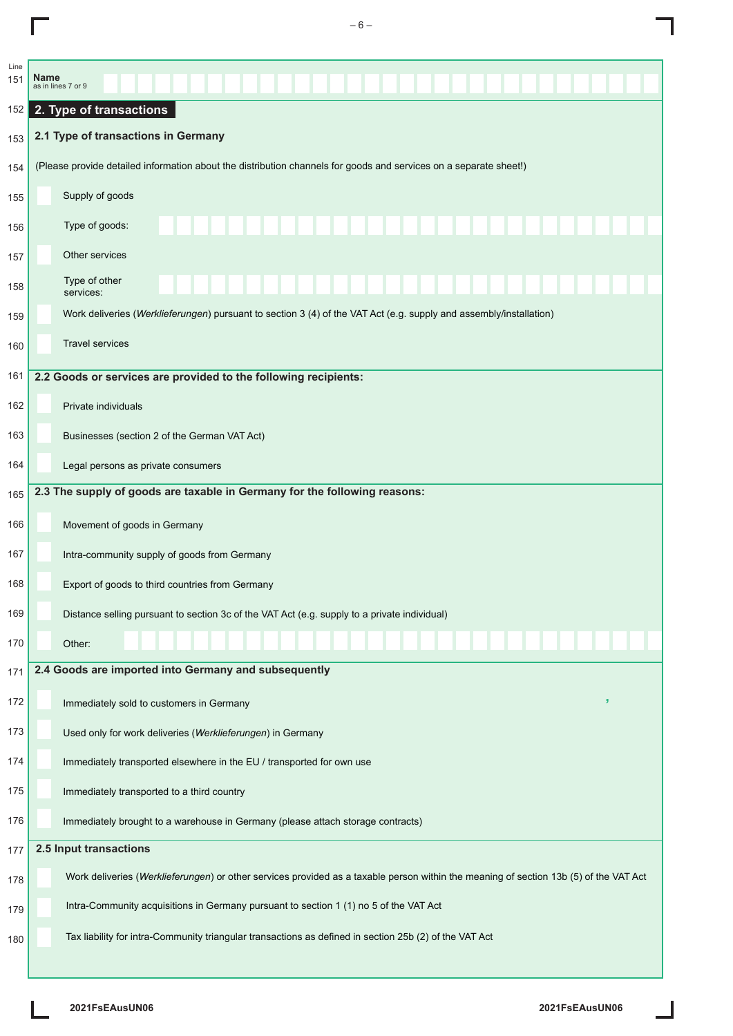| Line<br>151 | <b>Name</b> | as in lines 7 or 9                                                                                                                    |
|-------------|-------------|---------------------------------------------------------------------------------------------------------------------------------------|
| 152         |             | 2. Type of transactions                                                                                                               |
| 153         |             | 2.1 Type of transactions in Germany                                                                                                   |
| 154         |             | (Please provide detailed information about the distribution channels for goods and services on a separate sheet!)                     |
| 155         |             | Supply of goods                                                                                                                       |
| 156         |             | Type of goods:                                                                                                                        |
| 157         |             | Other services                                                                                                                        |
| 158         |             | Type of other<br>services:                                                                                                            |
| 159         |             | Work deliveries (Werklieferungen) pursuant to section 3 (4) of the VAT Act (e.g. supply and assembly/installation)                    |
| 160         |             | <b>Travel services</b>                                                                                                                |
| 161         |             | 2.2 Goods or services are provided to the following recipients:                                                                       |
| 162         |             | Private individuals                                                                                                                   |
| 163         |             | Businesses (section 2 of the German VAT Act)                                                                                          |
| 164         |             | Legal persons as private consumers                                                                                                    |
| 165         |             | 2.3 The supply of goods are taxable in Germany for the following reasons:                                                             |
| 166         |             | Movement of goods in Germany                                                                                                          |
| 167         |             | Intra-community supply of goods from Germany                                                                                          |
| 168         |             | Export of goods to third countries from Germany                                                                                       |
| 169         |             | Distance selling pursuant to section 3c of the VAT Act (e.g. supply to a private individual)                                          |
| 170         |             | Other:                                                                                                                                |
| 171         |             | 2.4 Goods are imported into Germany and subsequently                                                                                  |
| 172         |             | э<br>Immediately sold to customers in Germany                                                                                         |
| 173         |             | Used only for work deliveries (Werklieferungen) in Germany                                                                            |
| 174         |             | Immediately transported elsewhere in the EU / transported for own use                                                                 |
| 175         |             | Immediately transported to a third country                                                                                            |
| 176         |             | Immediately brought to a warehouse in Germany (please attach storage contracts)                                                       |
| 177         |             | 2.5 Input transactions                                                                                                                |
| 178         |             | Work deliveries (Werklieferungen) or other services provided as a taxable person within the meaning of section 13b (5) of the VAT Act |
| 179         |             | Intra-Community acquisitions in Germany pursuant to section 1 (1) no 5 of the VAT Act                                                 |
| 180         |             | Tax liability for intra-Community triangular transactions as defined in section 25b (2) of the VAT Act                                |
|             |             |                                                                                                                                       |

 $-6-$ 

ı

 $\overline{\Gamma}$ 

٦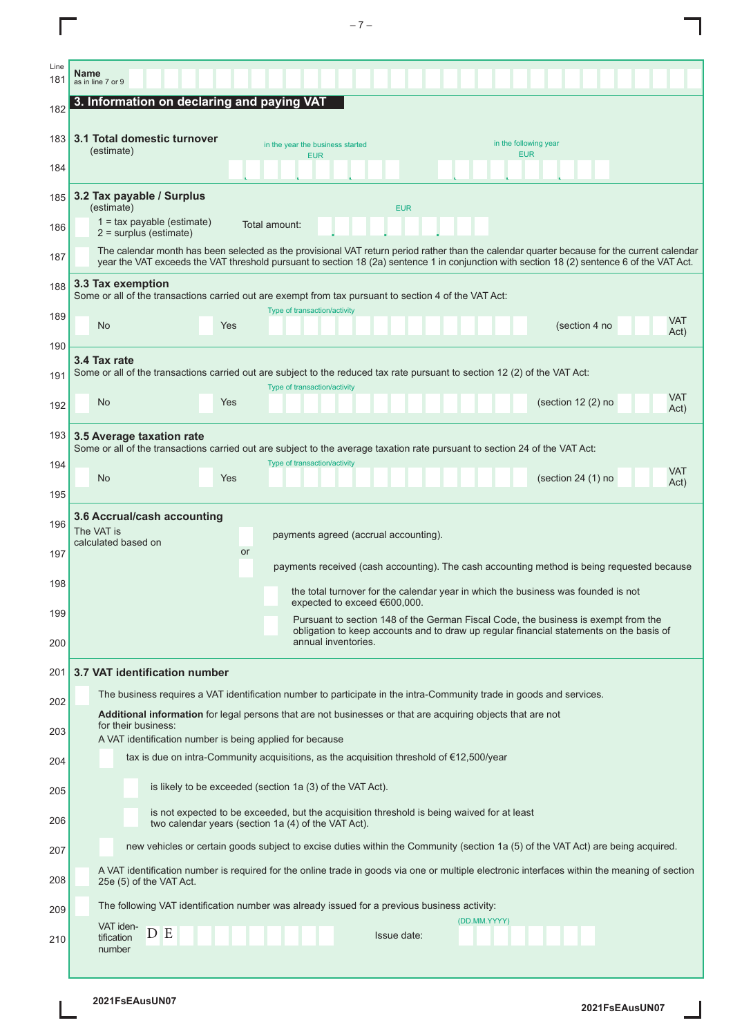|      | $-7-$                                                                                                                                                                                                |
|------|------------------------------------------------------------------------------------------------------------------------------------------------------------------------------------------------------|
| Line |                                                                                                                                                                                                      |
| 181  | Name<br>as in line 7 or 9                                                                                                                                                                            |
| 182  | 3. Information on declaring and paying VAT                                                                                                                                                           |
| 183  | 3.1 Total domestic turnover<br>in the following year<br>in the year the business started                                                                                                             |
| 184  | (estimate)<br><b>EUR</b><br><b>EUR</b>                                                                                                                                                               |
| 185  | 3.2 Tax payable / Surplus                                                                                                                                                                            |
| 186  | (estimate)<br><b>EUR</b><br>$1 = tax$ payable (estimate)<br>Total amount:                                                                                                                            |
| 187  | $2 =$ surplus (estimate)<br>The calendar month has been selected as the provisional VAT return period rather than the calendar quarter because for the current calendar                              |
| 188  | year the VAT exceeds the VAT threshold pursuant to section 18 (2a) sentence 1 in conjunction with section 18 (2) sentence 6 of the VAT Act.<br>3.3 Tax exemption                                     |
|      | Some or all of the transactions carried out are exempt from tax pursuant to section 4 of the VAT Act:<br>Type of transaction/activity                                                                |
| 189  | VAT<br><b>No</b><br>(section 4 no<br>Yes<br>Act)                                                                                                                                                     |
| 190  | 3.4 Tax rate                                                                                                                                                                                         |
| 191  | Some or all of the transactions carried out are subject to the reduced tax rate pursuant to section 12 (2) of the VAT Act:<br>Type of transaction/activity                                           |
| 192  | VAT<br>No<br>Yes<br>(section $12(2)$ no<br>Act)                                                                                                                                                      |
| 193  | 3.5 Average taxation rate<br>Some or all of the transactions carried out are subject to the average taxation rate pursuant to section 24 of the VAT Act:                                             |
| 194  | Type of transaction/activity<br>VAT<br>(section 24 (1) no<br><b>No</b><br>Yes                                                                                                                        |
| 195  | Act)                                                                                                                                                                                                 |
| 196  | 3.6 Accrual/cash accounting<br>The VAT is<br>payments agreed (accrual accounting).                                                                                                                   |
| 197  | calculated based on<br><b>or</b>                                                                                                                                                                     |
| 198  | payments received (cash accounting). The cash accounting method is being requested because                                                                                                           |
| 199  | the total turnover for the calendar year in which the business was founded is not<br>expected to exceed €600,000.                                                                                    |
| 200  | Pursuant to section 148 of the German Fiscal Code, the business is exempt from the<br>obligation to keep accounts and to draw up regular financial statements on the basis of<br>annual inventories. |
| 201  | 3.7 VAT identification number                                                                                                                                                                        |
|      | The business requires a VAT identification number to participate in the intra-Community trade in goods and services.                                                                                 |
| 202  | <b>Additional information</b> for legal persons that are not businesses or that are acquiring objects that are not<br>for their business:                                                            |
| 203  | A VAT identification number is being applied for because                                                                                                                                             |
| 204  | tax is due on intra-Community acquisitions, as the acquisition threshold of $E$ 12,500/year                                                                                                          |
| 205  | is likely to be exceeded (section 1a (3) of the VAT Act).<br>is not expected to be exceeded, but the acquisition threshold is being waived for at least                                              |
| 206  | two calendar years (section 1a (4) of the VAT Act).                                                                                                                                                  |
| 207  | new vehicles or certain goods subject to excise duties within the Community (section 1a (5) of the VAT Act) are being acquired.                                                                      |
| 208  | A VAT identification number is required for the online trade in goods via one or multiple electronic interfaces within the meaning of section<br>25e (5) of the VAT Act.                             |
| 209  | The following VAT identification number was already issued for a previous business activity:<br>(DD.MM.YYYY)                                                                                         |
| 210  | VAT iden-<br>D E<br>Issue date:<br>tification<br>number                                                                                                                                              |
|      |                                                                                                                                                                                                      |

I

 $\blacksquare$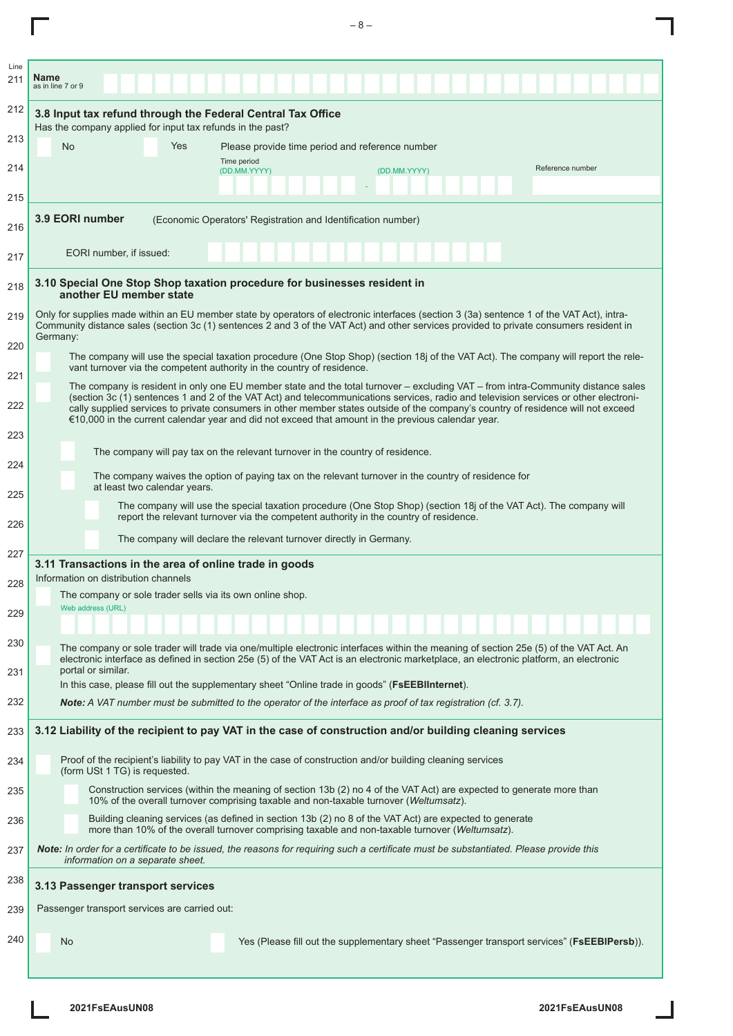| Line<br><b>Name</b><br>211                                                                                                                                                                                        |                                                                                                                                                                                                                                                                                                                                                                                                               |
|-------------------------------------------------------------------------------------------------------------------------------------------------------------------------------------------------------------------|---------------------------------------------------------------------------------------------------------------------------------------------------------------------------------------------------------------------------------------------------------------------------------------------------------------------------------------------------------------------------------------------------------------|
| as in line 7 or 9<br>212                                                                                                                                                                                          |                                                                                                                                                                                                                                                                                                                                                                                                               |
| 3.8 Input tax refund through the Federal Central Tax Office<br>Has the company applied for input tax refunds in the past?                                                                                         |                                                                                                                                                                                                                                                                                                                                                                                                               |
| 213<br>Yes<br><b>No</b>                                                                                                                                                                                           | Please provide time period and reference number                                                                                                                                                                                                                                                                                                                                                               |
| Time period<br>214<br>(DD.MM.YYYY)                                                                                                                                                                                | Reference number<br>(DD.MM.YYYY)                                                                                                                                                                                                                                                                                                                                                                              |
| 215                                                                                                                                                                                                               |                                                                                                                                                                                                                                                                                                                                                                                                               |
| 3.9 EORI number<br>(Economic Operators' Registration and Identification number)<br>216                                                                                                                            |                                                                                                                                                                                                                                                                                                                                                                                                               |
| EORI number, if issued:<br>217                                                                                                                                                                                    |                                                                                                                                                                                                                                                                                                                                                                                                               |
| 3.10 Special One Stop Shop taxation procedure for businesses resident in<br>218<br>another EU member state                                                                                                        |                                                                                                                                                                                                                                                                                                                                                                                                               |
| 219<br>Germany:                                                                                                                                                                                                   | Only for supplies made within an EU member state by operators of electronic interfaces (section 3 (3a) sentence 1 of the VAT Act), intra-<br>Community distance sales (section 3c (1) sentences 2 and 3 of the VAT Act) and other services provided to private consumers resident in                                                                                                                          |
| 220<br>vant turnover via the competent authority in the country of residence.                                                                                                                                     | The company will use the special taxation procedure (One Stop Shop) (section 18j of the VAT Act). The company will report the rele-                                                                                                                                                                                                                                                                           |
| 221<br>222                                                                                                                                                                                                        | The company is resident in only one EU member state and the total turnover – excluding VAT – from intra-Community distance sales<br>(section 3c (1) sentences 1 and 2 of the VAT Act) and telecommunications services, radio and television services or other electroni-<br>cally supplied services to private consumers in other member states outside of the company's country of residence will not exceed |
| €10,000 in the current calendar year and did not exceed that amount in the previous calendar year.<br>223                                                                                                         |                                                                                                                                                                                                                                                                                                                                                                                                               |
| The company will pay tax on the relevant turnover in the country of residence.<br>224                                                                                                                             |                                                                                                                                                                                                                                                                                                                                                                                                               |
| The company waives the option of paying tax on the relevant turnover in the country of residence for<br>at least two calendar years.<br>225                                                                       |                                                                                                                                                                                                                                                                                                                                                                                                               |
| report the relevant turnover via the competent authority in the country of residence.<br>226                                                                                                                      | The company will use the special taxation procedure (One Stop Shop) (section 18 of the VAT Act). The company will                                                                                                                                                                                                                                                                                             |
| The company will declare the relevant turnover directly in Germany.<br>227                                                                                                                                        |                                                                                                                                                                                                                                                                                                                                                                                                               |
| 3.11 Transactions in the area of online trade in goods<br>Information on distribution channels<br>228                                                                                                             |                                                                                                                                                                                                                                                                                                                                                                                                               |
| The company or sole trader sells via its own online shop.<br>Web address (URL)<br>229                                                                                                                             |                                                                                                                                                                                                                                                                                                                                                                                                               |
| 230                                                                                                                                                                                                               |                                                                                                                                                                                                                                                                                                                                                                                                               |
| portal or similar.<br>231                                                                                                                                                                                         | The company or sole trader will trade via one/multiple electronic interfaces within the meaning of section 25e (5) of the VAT Act. An<br>electronic interface as defined in section 25e (5) of the VAT Act is an electronic marketplace, an electronic platform, an electronic                                                                                                                                |
| In this case, please fill out the supplementary sheet "Online trade in goods" (FSEEBIInternet).                                                                                                                   |                                                                                                                                                                                                                                                                                                                                                                                                               |
| 232<br>Note: A VAT number must be submitted to the operator of the interface as proof of tax registration (cf. 3.7).                                                                                              |                                                                                                                                                                                                                                                                                                                                                                                                               |
| 3.12 Liability of the recipient to pay VAT in the case of construction and/or building cleaning services<br>233                                                                                                   |                                                                                                                                                                                                                                                                                                                                                                                                               |
| Proof of the recipient's liability to pay VAT in the case of construction and/or building cleaning services<br>234<br>(form USt 1 TG) is requested.                                                               |                                                                                                                                                                                                                                                                                                                                                                                                               |
| 235<br>10% of the overall turnover comprising taxable and non-taxable turnover (Weltumsatz).                                                                                                                      | Construction services (within the meaning of section 13b (2) no 4 of the VAT Act) are expected to generate more than                                                                                                                                                                                                                                                                                          |
| Building cleaning services (as defined in section 13b (2) no 8 of the VAT Act) are expected to generate<br>236<br>more than 10% of the overall turnover comprising taxable and non-taxable turnover (Weltumsatz). |                                                                                                                                                                                                                                                                                                                                                                                                               |
| Note: In order for a certificate to be issued, the reasons for requiring such a certificate must be substantiated. Please provide this<br>237<br>information on a separate sheet.                                 |                                                                                                                                                                                                                                                                                                                                                                                                               |
| 238<br>3.13 Passenger transport services                                                                                                                                                                          |                                                                                                                                                                                                                                                                                                                                                                                                               |
| Passenger transport services are carried out:<br>239                                                                                                                                                              |                                                                                                                                                                                                                                                                                                                                                                                                               |
| 240<br>No                                                                                                                                                                                                         | Yes (Please fill out the supplementary sheet "Passenger transport services" (FsEEBIPersb)).                                                                                                                                                                                                                                                                                                                   |
|                                                                                                                                                                                                                   |                                                                                                                                                                                                                                                                                                                                                                                                               |

 $-8-$ 

L

 $\Gamma$ 

Ī